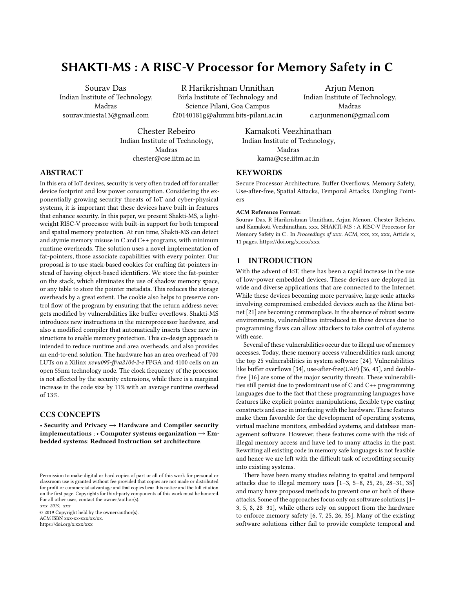# SHAKTI-MS : A RISC-V Processor for Memory Safety in C

Sourav Das Indian Institute of Technology, Madras sourav.iniesta13@gmail.com

R Harikrishnan Unnithan Birla Institute of Technology and Science Pilani, Goa Campus f20140181g@alumni.bits-pilani.ac.in

Arjun Menon Indian Institute of Technology, Madras c.arjunmenon@gmail.com

Chester Rebeiro Indian Institute of Technology, Madras chester@cse.iitm.ac.in

Kamakoti Veezhinathan Indian Institute of Technology, Madras kama@cse.iitm.ac.in

## **KEYWORDS**

Secure Processor Architecture, Buffer Overflows, Memory Safety, Use-after-free, Spatial Attacks, Temporal Attacks, Dangling Pointers

#### ACM Reference Format:

Sourav Das, R Harikrishnan Unnithan, Arjun Menon, Chester Rebeiro, and Kamakoti Veezhinathan. xxx. SHAKTI-MS : A RISC-V Processor for Memory Safety in C . In Proceedings of xxx. ACM, xxx, xx, xxx, Article x, [11](#page-10-0) pages.<https://doi.org/x.xxx/xxx>

## 1 INTRODUCTION

With the advent of IoT, there has been a rapid increase in the use of low-power embedded devices. These devices are deployed in wide and diverse applications that are connected to the Internet. While these devices becoming more pervasive, large scale attacks involving compromised embedded devices such as the Mirai botnet [\[21\]](#page-10-1) are becoming commonplace. In the absence of robust secure environments, vulnerabilities introduced in these devices due to programming flaws can allow attackers to take control of systems with ease.

Several of these vulnerabilities occur due to illegal use of memory accesses. Today, these memory access vulnerabilities rank among the top 25 vulnerabilities in system software [\[24\]](#page-10-2). Vulnerabilities like buffer overflows [\[34\]](#page-10-3), use-after-free(UAF) [\[36,](#page-10-4) [43\]](#page-10-5), and doublefree [\[16\]](#page-10-6) are some of the major security threats. These vulnerabilities still persist due to predominant use of C and C++ programming languages due to the fact that these programming languages have features like explicit pointer manipulations, flexible type casting constructs and ease in interfacing with the hardware. These features make them favorable for the development of operating systems, virtual machine monitors, embedded systems, and database management software. However, these features come with the risk of illegal memory access and have led to many attacks in the past. Rewriting all existing code in memory safe languages is not feasible and hence we are left with the difficult task of retrofitting security into existing systems.

There have been many studies relating to spatial and temporal attacks due to illegal memory uses [\[1–](#page-9-0)[3,](#page-10-7) [5](#page-10-8)[–8,](#page-10-9) [25,](#page-10-10) [26,](#page-10-11) [28](#page-10-12)[–31,](#page-10-13) [35\]](#page-10-14) and many have proposed methods to prevent one or both of these attacks. Some of the approaches focus only on software solutions [\[1–](#page-9-0) [3,](#page-10-7) [5,](#page-10-8) [8,](#page-10-9) [28–](#page-10-12)[31\]](#page-10-13), while others rely on support from the hardware to enforce memory safety [\[6,](#page-10-15) [7,](#page-10-16) [25,](#page-10-10) [26,](#page-10-11) [35\]](#page-10-14). Many of the existing software solutions either fail to provide complete temporal and

## ABSTRACT

In this era of IoT devices, security is very often traded off for smaller device footprint and low power consumption. Considering the exponentially growing security threats of IoT and cyber-physical systems, it is important that these devices have built-in features that enhance security. In this paper, we present Shakti-MS, a lightweight RISC-V processor with built-in support for both temporal and spatial memory protection. At run time, Shakti-MS can detect and stymie memory misuse in C and C++ programs, with minimum runtime overheads. The solution uses a novel implementation of fat-pointers, those associate capabilities with every pointer. Our proposal is to use stack-based cookies for crafting fat-pointers instead of having object-based identifiers. We store the fat-pointer on the stack, which eliminates the use of shadow memory space, or any table to store the pointer metadata. This reduces the storage overheads by a great extent. The cookie also helps to preserve control flow of the program by ensuring that the return address never gets modified by vulnerabilities like buffer overflows. Shakti-MS introduces new instructions in the microprocessor hardware, and also a modified compiler that automatically inserts these new instructions to enable memory protection. This co-design approach is intended to reduce runtime and area overheads, and also provides an end-to-end solution. The hardware has an area overhead of 700 LUTs on a Xilinx xcvu095-ffva2104-2-e FPGA and 4100 cells on an open 55nm technology node. The clock frequency of the processor is not affected by the security extensions, while there is a marginal increase in the code size by 11% with an average runtime overhead of 13%.

## CCS CONCEPTS

• Security and Privacy → Hardware and Compiler security implementations ;  $\cdot$  Computer systems organization  $\rightarrow$  Embedded systems; Reduced Instruction set architecture.

xxx, 2019, xxx © 2019 Copyright held by the owner/author(s). ACM ISBN xxx-xx-xxx/xx/xx. <https://doi.org/x.xxx/xxx>

Permission to make digital or hard copies of part or all of this work for personal or classroom use is granted without fee provided that copies are not made or distributed for profit or commercial advantage and that copies bear this notice and the full citation on the first page. Copyrights for third-party components of this work must be honored. For all other uses, contact the owner/author(s).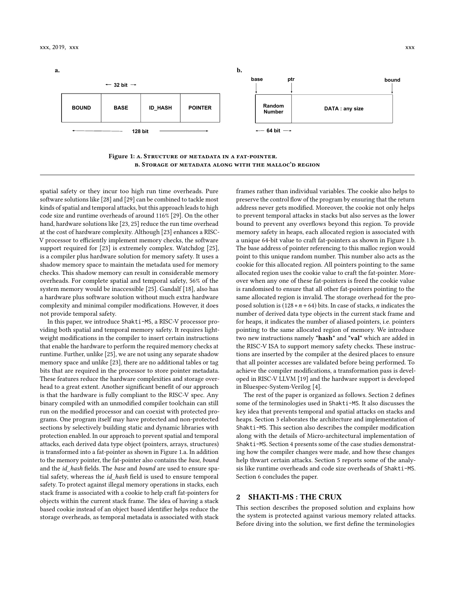<span id="page-1-0"></span>



spatial safety or they incur too high run time overheads. Pure software solutions like [\[28\]](#page-10-12) and [\[29\]](#page-10-17) can be combined to tackle most kinds of spatial and temporal attacks, but this approach leads to high code size and runtime overheads of around 116% [\[29\]](#page-10-17). On the other hand, hardware solutions like [\[23,](#page-10-18) [25\]](#page-10-10) reduce the run time overhead at the cost of hardware complexity. Although [\[23\]](#page-10-18) enhances a RISC-V processor to efficiently implement memory checks, the software support required for [\[23\]](#page-10-18) is extremely complex. Watchdog [\[25\]](#page-10-10), is a compiler plus hardware solution for memory safety. It uses a shadow memory space to maintain the metadata used for memory checks. This shadow memory can result in considerable memory overheads. For complete spatial and temporal safety, 56% of the system memory would be inaccessible [\[25\]](#page-10-10). Gandalf [\[18\]](#page-10-19), also has a hardware plus software solution without much extra hardware complexity and minimal compiler modifications. However, it does not provide temporal safety.

In this paper, we introduce Shakti-MS, a RISC-V processor providing both spatial and temporal memory safety. It requires lightweight modifications in the compiler to insert certain instructions that enable the hardware to perform the required memory checks at runtime. Further, unlike [\[25\]](#page-10-10), we are not using any separate shadow memory space and unlike [\[23\]](#page-10-18), there are no additional tables or tag bits that are required in the processor to store pointer metadata. These features reduce the hardware complexities and storage overhead to a great extent. Another significant benefit of our approach is that the hardware is fully compliant to the RISC-V spec. Any binary compiled with an unmodified compiler toolchain can still run on the modified processor and can coexist with protected programs. One program itself may have protected and non-protected sections by selectively building static and dynamic libraries with protection enabled. In our approach to prevent spatial and temporal attacks, each derived data type object (pointers, arrays, structures) is transformed into a fat-pointer as shown in Figure [1.](#page-1-0)a. In addition to the memory pointer, the fat-pointer also contains the base, bound and the id\_hash fields. The base and bound are used to ensure spatial safety, whereas the id\_hash field is used to ensure temporal safety. To protect against illegal memory operations in stacks, each stack frame is associated with a cookie to help craft fat-pointers for objects within the current stack frame. The idea of having a stack based cookie instead of an object based identifier helps reduce the storage overheads, as temporal metadata is associated with stack

frames rather than individual variables. The cookie also helps to preserve the control flow of the program by ensuring that the return address never gets modified. Moreover, the cookie not only helps to prevent temporal attacks in stacks but also serves as the lower bound to prevent any overflows beyond this region. To provide memory safety in heaps, each allocated region is associated with a unique 64-bit value to craft fat-pointers as shown in Figure [1.](#page-1-0)b. The base address of pointer referencing to this malloc region would point to this unique random number. This number also acts as the cookie for this allocated region. All pointers pointing to the same allocated region uses the cookie value to craft the fat-pointer. Moreover when any one of these fat-pointers is freed the cookie value is randomised to ensure that all other fat-pointers pointing to the same allocated region is invalid. The storage overhead for the proposed solution is  $(128 * n + 64)$  bits. In case of stacks, *n* indicates the number of derived data type objects in the current stack frame and for heaps, it indicates the number of aliased pointers, i.e. pointers pointing to the same allocated region of memory. We introduce two new instructions namely "hash" and "val" which are added in the RISC-V ISA to support memory safety checks. These instructions are inserted by the compiler at the desired places to ensure that all pointer accesses are validated before being performed. To achieve the compiler modifications, a transformation pass is developed in RISC-V LLVM [\[19\]](#page-10-20) and the hardware support is developed in Bluespec-System-Verilog [\[4\]](#page-10-21).

The rest of the paper is organized as follows. Section 2 defines some of the terminologies used in Shakti-MS. It also discusses the key idea that prevents temporal and spatial attacks on stacks and heaps. Section 3 elaborates the architecture and implementation of Shakti-MS. This section also describes the compiler modification along with the details of Micro-architectural implementation of Shakti-MS. Section 4 presents some of the case studies demonstrating how the compiler changes were made, and how these changes help thwart certain attacks. Section 5 reports some of the analysis like runtime overheads and code size overheads of Shakti-MS. Section 6 concludes the paper.

## 2 SHAKTI-MS : THE CRUX

This section describes the proposed solution and explains how the system is protected against various memory related attacks. Before diving into the solution, we first define the terminologies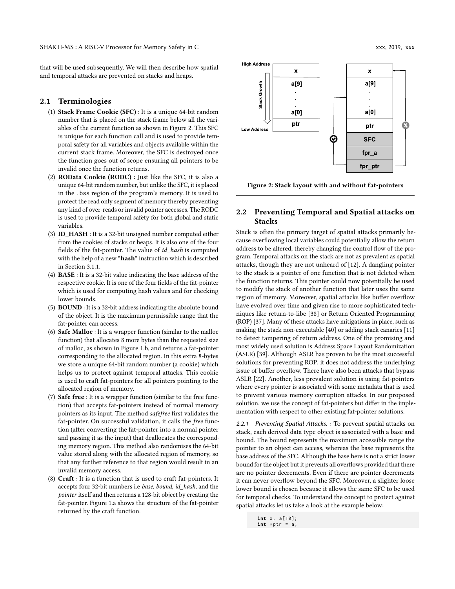that will be used subsequently. We will then describe how spatial and temporal attacks are prevented on stacks and heaps.

## 2.1 Terminologies

- (1) Stack Frame Cookie (SFC) : It is a unique 64-bit random number that is placed on the stack frame below all the variables of the current function as shown in Figure [2.](#page-2-0) This SFC is unique for each function call and is used to provide temporal safety for all variables and objects available within the current stack frame. Moreover, the SFC is destroyed once the function goes out of scope ensuring all pointers to be invalid once the function returns.
- (2) ROData Cookie (RODC) : Just like the SFC, it is also a unique 64-bit random number, but unlike the SFC, it is placed in the .bss region of the program's memory. It is used to protect the read only segment of memory thereby preventing any kind of over-reads or invalid pointer accesses. The RODC is used to provide temporal safety for both global and static variables.
- (3) ID\_HASH : It is a 32-bit unsigned number computed either from the cookies of stacks or heaps. It is also one of the four fields of the fat-pointer. The value of id\_hash is computed with the help of a new "hash" instruction which is described in Section [3.1](#page-4-0)[.1.](#page-4-1)
- (4) BASE : It is a 32-bit value indicating the base address of the respective cookie. It is one of the four fields of the fat-pointer which is used for computing hash values and for checking lower bounds.
- (5) BOUND : It is a 32-bit address indicating the absolute bound of the object. It is the maximum permissible range that the fat-pointer can access.
- (6) Safe Malloc : It is a wrapper function (similar to the malloc function) that allocates 8 more bytes than the requested size of malloc, as shown in Figure [1.](#page-1-0)b, and returns a fat-pointer corresponding to the allocated region. In this extra 8-bytes we store a unique 64-bit random number (a cookie) which helps us to protect against temporal attacks. This cookie is used to craft fat-pointers for all pointers pointing to the allocated region of memory.
- (7) Safe free : It is a wrapper function (similar to the free function) that accepts fat-pointers instead of normal memory pointers as its input. The method safefree first validates the fat-pointer. On successful validation, it calls the free function (after converting the fat-pointer into a normal pointer and passing it as the input) that deallocates the corresponding memory region. This method also randomises the 64-bit value stored along with the allocated region of memory, so that any further reference to that region would result in an invalid memory access.
- (8) Craft : It is a function that is used to craft fat-pointers. It accepts four 32-bit numbers i.e base, bound, id\_hash, and the pointer itself and then returns a 128-bit object by creating the fat-pointer. Figure [1.](#page-1-0)a shows the structure of the fat-pointer returned by the craft function.

<span id="page-2-0"></span>

fpr\_a fpr\_ptr

Figure 2: Stack layout with and without fat-pointers

## 2.2 Preventing Temporal and Spatial attacks on Stacks

Stack is often the primary target of spatial attacks primarily because overflowing local variables could potentially allow the return address to be altered, thereby changing the control flow of the program. Temporal attacks on the stack are not as prevalent as spatial attacks, though they are not unheard of [\[12\]](#page-10-22). A dangling pointer to the stack is a pointer of one function that is not deleted when the function returns. This pointer could now potentially be used to modify the stack of another function that later uses the same region of memory. Moreover, spatial attacks like buffer overflow have evolved over time and given rise to more sophisticated techniques like return-to-libc [\[38\]](#page-10-23) or Return Oriented Programming (ROP) [\[37\]](#page-10-24). Many of these attacks have mitigations in place, such as making the stack non-executable [\[40\]](#page-10-25) or adding stack canaries [\[11\]](#page-10-26) to detect tampering of return address. One of the promising and most widely used solution is Address Space Layout Randomization (ASLR) [\[39\]](#page-10-27). Although ASLR has proven to be the most successful solutions for preventing ROP, it does not address the underlying issue of buffer overflow. There have also been attacks that bypass ASLR [\[22\]](#page-10-28). Another, less prevalent solution is using fat-pointers where every pointer is associated with some metadata that is used to prevent various memory corruption attacks. In our proposed solution, we use the concept of fat-pointers but differ in the implementation with respect to other existing fat-pointer solutions.

2.2.1 Preventing Spatial Attacks. : To prevent spatial attacks on stack, each derived data type object is associated with a base and bound. The bound represents the maximum accessible range the pointer to an object can access, whereas the base represents the base address of the SFC. Although the base here is not a strict lower bound for the object but it prevents all overflows provided that there are no pointer decrements. Even if there are pointer decrements it can never overflow beyond the SFC. Moreover, a slighter loose lower bound is chosen because it allows the same SFC to be used for temporal checks. To understand the concept to protect against spatial attacks let us take a look at the example below:

> **int** x , a [10];  $int * ptr = a;$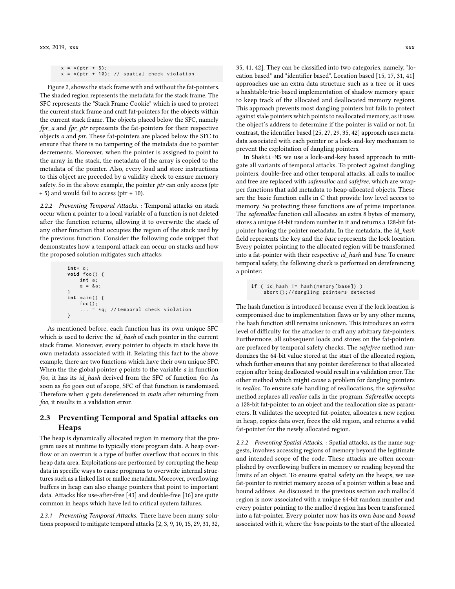```
x = *( ptr + 5);
x = *( ptr + 10); // spatial check violation
```
Figure [2,](#page-2-0) shows the stack frame with and without the fat-pointers. The shaded region represents the metadata for the stack frame. The SFC represents the "Stack Frame Cookie" which is used to protect the current stack frame and craft fat-pointers for the objects within the current stack frame. The objects placed below the SFC, namely fpr\_a and fpr\_ptr represents the fat-pointers for their respective objects a and ptr. These fat-pointers are placed below the SFC to ensure that there is no tampering of the metadata due to pointer decrements. Moreover, when the pointer is assigned to point to the array in the stack, the metadata of the array is copied to the metadata of the pointer. Also, every load and store instructions to this object are preceded by a validity check to ensure memory safety. So in the above example, the pointer ptr can only access (ptr + 5) and would fail to access (ptr + 10).

2.2.2 Preventing Temporal Attacks. : Temporal attacks on stack occur when a pointer to a local variable of a function is not deleted after the function returns, allowing it to overwrite the stack of any other function that occupies the region of the stack used by the previous function. Consider the following code snippet that demonstrates how a temporal attack can occur on stacks and how the proposed solution mitigates such attacks:

**int** \* q ; **void** foo () { **int** a ; q = & a ; } **int** main () { foo (); ... = \* q ; // temporal check violation }

As mentioned before, each function has its own unique SFC which is used to derive the *id* hash of each pointer in the current stack frame. Moreover, every pointer to objects in stack have its own metadata associated with it. Relating this fact to the above example, there are two functions which have their own unique SFC. When the the global pointer  $q$  points to the variable  $a$  in function foo, it has its id\_hash derived from the SFC of function foo. As soon as foo goes out of scope, SFC of that function is randomised. Therefore when q gets dereferenced in *main* after returning from foo, it results in a validation error.

## 2.3 Preventing Temporal and Spatial attacks on Heaps

The heap is dynamically allocated region in memory that the program uses at runtime to typically store program data. A heap overflow or an overrun is a type of buffer overflow that occurs in this heap data area. Exploitations are performed by corrupting the heap data in specific ways to cause programs to overwrite internal structures such as a linked list or malloc metadata. Moreover, overflowing buffers in heap can also change pointers that point to important data. Attacks like use-after-free [\[43\]](#page-10-5) and double-free [\[16\]](#page-10-6) are quite common in heaps which have led to critical system failures.

2.3.1 Preventing Temporal Attacks. There have been many solutions proposed to mitigate temporal attacks [\[2,](#page-10-29) [3,](#page-10-7) [9,](#page-10-30) [10,](#page-10-31) [15,](#page-10-32) [29,](#page-10-17) [31,](#page-10-13) [32,](#page-10-33) [35,](#page-10-14) [41,](#page-10-34) [42\]](#page-10-35). They can be classified into two categories, namely, "location based" and "identifier based". Location based [\[15,](#page-10-32) [17,](#page-10-36) [31,](#page-10-13) [41\]](#page-10-34) approaches use an extra data structure such as a tree or it uses a hashtable/trie-based implementation of shadow memory space to keep track of the allocated and deallocated memory regions. This approach prevents most dangling pointers but fails to protect against stale pointers which points to reallocated memory, as it uses the object's address to determine if the pointer is valid or not. In contrast, the identifier based [\[25,](#page-10-10) [27,](#page-10-37) [29,](#page-10-17) [35,](#page-10-14) [42\]](#page-10-35) approach uses metadata associated with each pointer or a lock-and-key mechanism to prevent the exploitation of dangling pointers.

In Shakti-MS we use a lock-and-key based approach to mitigate all variants of temporal attacks. To protect against dangling pointers, double-free and other temporal attacks, all calls to malloc and free are replaced with safemalloc and safefree, which are wrapper functions that add metadata to heap-allocated objects. These are the basic function calls in C that provide low level access to memory. So protecting these functions are of prime importance. The safemalloc function call allocates an extra 8 bytes of memory, stores a unique 64-bit random number in it and returns a 128-bit fatpointer having the pointer metadata. In the metadata, the id\_hash field represents the key and the base represents the lock location. Every pointer pointing to the allocated region will be transformed into a fat-pointer with their respective id hash and base. To ensure temporal safety, the following check is performed on dereferencing a pointer:

```
if ( id_hash != hash (memory [base]) )
    abort (); // dangling pointers detected
```
The hash function is introduced because even if the lock location is compromised due to implementation flaws or by any other means, the hash function still remains unknown. This introduces an extra level of difficulty for the attacker to craft any arbitrary fat-pointers. Furthermore, all subsequent loads and stores on the fat-pointers are prefaced by temporal safety checks. The safefree method randomizes the 64-bit value stored at the start of the allocated region, which further ensures that any pointer dereference to that allocated region after being deallocated would result in a validation error. The other method which might cause a problem for dangling pointers is realloc. To ensure safe handling of reallocations, the saferealloc method replaces all realloc calls in the program. Saferealloc accepts a 128-bit fat-pointer to an object and the reallocation size as parameters. It validates the accepted fat-pointer, allocates a new region in heap, copies data over, frees the old region, and returns a valid fat-pointer for the newly allocated region.

2.3.2 Preventing Spatial Attacks. : Spatial attacks, as the name suggests, involves accessing regions of memory beyond the legitimate and intended scope of the code. These attacks are often accomplished by overflowing buffers in memory or reading beyond the limits of an object. To ensure spatial safety on the heaps, we use fat-pointer to restrict memory access of a pointer within a base and bound address. As discussed in the previous section each malloc'd region is now associated with a unique 64-bit random number and every pointer pointing to the malloc'd region has been transformed into a fat-pointer. Every pointer now has its own base and bound associated with it, where the base points to the start of the allocated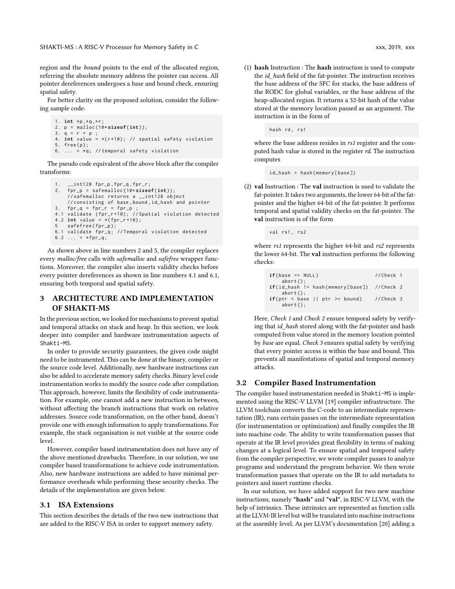SHAKTI-MS: A RISC-V Processor for Memory Safety in C  $xxx$ , 2019, xxx, 2019, xxx, 2019, xxx

region and the bound points to the end of the allocated region, referring the absolute memory address the pointer can access. All pointer dereferences undergoes a base and bound check, ensuring spatial safety.

For better clarity on the proposed solution, consider the following sample code:

```
1. int *p,*q,*r;
2. p = malloc (10* sizeof ( int ));
3. q = r = p ;
4. int value = *( r +10); // spatial safety violation
5. free(p);
6. \ldots = *q; // temporal safety violation
```
The pseudo code equivalent of the above block after the compiler transforms:

```
1. __int128 fpr_p , fpr_q , fpr_r ;
2. fpr_p = safemalloc (10* sizeof (int ));
    // safemalloc returns a __int128 object
    // consisting of base , bound , id_hash and pointer
3. fpr_q = fpr_r = fpr_p4.1 validate ( fpr_r +10); // Spatial violation detected
4.2 int value = *(for_r+10);
5 safefree (fpr_p);
6.1 validate fpr_q; // Temporal violation detected
6.2 \ldots = *fpr_q;
```
As shown above in line numbers 2 and 5, the compiler replaces every malloc/free calls with safemalloc and safefree wrapper functions. Moreover, the compiler also inserts validity checks before every pointer dereferences as shown in line numbers 4.1 and 6.1, ensuring both temporal and spatial safety.

## 3 ARCHITECTURE AND IMPLEMENTATION OF SHAKTI-MS

In the previous section, we looked for mechanisms to prevent spatial and temporal attacks on stack and heap. In this section, we look deeper into compiler and hardware instrumentation aspects of Shakti-MS.

In order to provide security guarantees, the given code might need to be instrumented. This can be done at the binary, compiler or the source code level. Additionally, new hardware instructions can also be added to accelerate memory safety checks. Binary level code instrumentation works to modify the source code after compilation. This approach, however, limits the flexibility of code instrumentation. For example, one cannot add a new instruction in between, without affecting the branch instructions that work on relative addresses. Source code transformation, on the other hand, doesn't provide one with enough information to apply transformations. For example, the stack organisation is not visible at the source code level.

However, compiler based instrumentation does not have any of the above mentioned drawbacks. Therefore, in our solution, we use compiler based transformations to achieve code instrumentation. Also, new hardware instructions are added to have minimal performance overheads while performing these security checks. The details of the implementation are given below.

## <span id="page-4-0"></span>3.1 ISA Extensions

This section describes the details of the two new instructions that are added to the RISC-V ISA in order to support memory safety.

<span id="page-4-1"></span>(1) hash Instruction : The hash instruction is used to compute the *id\_hash* field of the fat-pointer. The instruction receives the base address of the SFC for stacks, the base address of the RODC for global variables, or the base address of the heap-allocated region. It returns a 32-bit hash of the value stored at the memory location passed as an argument. The instruction is in the form of

hash rd, rs1

where the base address resides in rs1 register and the computed hash value is stored in the register rd. The instruction computes

```
id_hash = hash ( memory [ base ])
```
(2) val Instruction : The val instruction is used to validate the fat-pointer. It takes two arguments, the lower 64-bit of the fatpointer and the higher 64-bit of the fat-pointer. It performs temporal and spatial validity checks on the fat-pointer. The val instruction is of the form

val rs1, rs2

where *rs1* represents the higher 64-bit and *rs2* represents the lower 64-bit. The val instruction performs the following checks:

| $if(base == NULL)$                                                          | //Check 1   |
|-----------------------------------------------------------------------------|-------------|
| $abort()$ ;<br>$if(id_{\text{hash}} := hash(memory[\text{base}])$ //Check 2 |             |
| $abort()$ ;                                                                 |             |
| $if(pt \leq base   ptr \geq bound)$                                         | $//Check$ 3 |
| $abort()$ ;                                                                 |             |

Here, Check 1 and Check 2 ensure temporal safety by verifying that id\_hash stored along with the fat-pointer and hash computed from value stored in the memory location pointed by base are equal. Check 3 ensures spatial safety by verifying that every pointer access is within the base and bound. This prevents all manifestations of spatial and temporal memory attacks.

## 3.2 Compiler Based Instrumentation

The compiler based instrumentation needed in Shakti-MS is implemented using the RISC-V LLVM [\[19\]](#page-10-20) compiler infrastructure. The LLVM toolchain converts the C-code to an intermediate representation (IR), runs certain passes on the intermediate representation (for instrumentation or optimization) and finally compiles the IR into machine code. The ability to write transformation passes that operate at the IR level provides great flexibility in terms of making changes at a logical level. To ensure spatial and temporal safety from the compiler perspective, we wrote compiler passes to analyze programs and understand the program behavior. We then wrote transformation passes that operate on the IR to add metadata to pointers and insert runtime checks.

In our solution, we have added support for two new machine instructions, namely "hash" and "val", in RISC-V LLVM, with the help of intrinsics. These intrinsics are represented as function calls at the LLVM-IR level but will be translated into machine instructions at the assembly level. As per LLVM's documentation [\[20\]](#page-10-38) adding a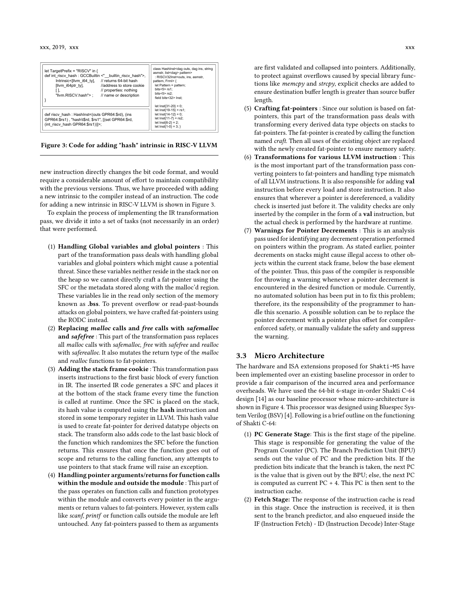<span id="page-5-0"></span>

| let TargetPrefix = "RISCV" in {<br>def int riscy hash: GCCBuiltin <" builtin riscy hash">,<br>Intrinsic<[IIvm i64 ty], // returns 64-bit hash<br>[Ilvm i64ptr ty],<br>laddress to store cookie<br>// properties: nothing<br>"Ilvm.RISCV.hash">:<br>// name or description | class Hashinst <dag dag="" ins,="" outs,="" string<br="">asmstr, list<dag> pattern&gt;<br/>: RISCV32Inst<outs, asmstr.<br="" ins,="">pattern. Frml&gt; {<br/>let Pattern = pattern;<br/>bits&lt;5&gt;<math>rs1</math>:<br/>bits&lt;5&gt;<math>rs2</math>:<br/>field bits&lt;32&gt; Inst:<br/><math>let</math> lnst<math>(31-20) = 0</math>:</outs,></dag></dag> |  |
|---------------------------------------------------------------------------------------------------------------------------------------------------------------------------------------------------------------------------------------------------------------------------|-----------------------------------------------------------------------------------------------------------------------------------------------------------------------------------------------------------------------------------------------------------------------------------------------------------------------------------------------------------------|--|
| def riscv_hash : HashInst<(outs GPR64:\$rd), (ins<br>GPR64:\$rs1), "hash\t\$rd, \$rs1", [(set GPR64:\$rd,<br>(int riscy hash GPR64:\$rs1))]>;                                                                                                                             | $let Inst{19-15} = rs1;$<br>$let Inst{14-12} = 0;$<br>$let Inst{1-7} = rs2;$<br>$let Inst{6-2} = 2$ ;<br>$let Inst{1-0} = 3;$                                                                                                                                                                                                                                   |  |

Figure 3: Code for adding "hash" intrinsic in RISC-V LLVM

new instruction directly changes the bit code format, and would require a considerable amount of effort to maintain compatibility with the previous versions. Thus, we have proceeded with adding a new intrinsic to the compiler instead of an instruction. The code for adding a new intrinsic in RISC-V LLVM is shown in Figure [3.](#page-5-0)

To explain the process of implementing the IR transformation pass, we divide it into a set of tasks (not necessarily in an order) that were performed.

- (1) Handling Global variables and global pointers : This part of the transformation pass deals with handling global variables and global pointers which might cause a potential threat. Since these variables neither reside in the stack nor on the heap so we cannot directly craft a fat-pointer using the SFC or the metadata stored along with the malloc'd region. These variables lie in the read only section of the memory known as .bss. To prevent overflow or read-past-bounds attacks on global pointers, we have crafted fat-pointers using the RODC instead.
- (2) Replacing malloc calls and free calls with safemalloc and safefree : This part of the transformation pass replaces all malloc calls with safemalloc, free with safefree and realloc with saferealloc. It also mutates the return type of the malloc and realloc functions to fat-pointers.
- (3) Adding the stack frame cookie : This transformation pass inserts instructions to the first basic block of every function in IR. The inserted IR code generates a SFC and places it at the bottom of the stack frame every time the function is called at runtime. Once the SFC is placed on the stack, its hash value is computed using the hash instruction and stored in some temporary register in LLVM. This hash value is used to create fat-pointer for derived datatype objects on stack. The transform also adds code to the last basic block of the function which randomizes the SFC before the function returns. This ensures that once the function goes out of scope and returns to the calling function, any attempts to use pointers to that stack frame will raise an exception.
- (4) Handling pointer arguments/returns for function calls within the module and outside the module : This part of the pass operates on function calls and function prototypes within the module and converts every pointer in the arguments or return values to fat-pointers. However, system calls like scanf, printf or function calls outside the module are left untouched. Any fat-pointers passed to them as arguments

are first validated and collapsed into pointers. Additionally, to protect against overflows caused by special library functions like memcpy and strcpy, explicit checks are added to ensure destination buffer length is greater than source buffer length.

- (5) Crafting fat-pointers : Since our solution is based on fatpointers, this part of the transformation pass deals with transforming every derived data type objects on stacks to fat-pointers. The fat-pointer is created by calling the function named craft. Then all uses of the existing object are replaced with the newly created fat-pointer to ensure memory safety.
- (6) Transformations for various LLVM instruction : This is the most important part of the transformation pass converting pointers to fat-pointers and handling type mismatch of all LLVM instructions. It is also responsible for adding val instruction before every load and store instruction. It also ensures that wherever a pointer is dereferenced, a validity check is inserted just before it. The validity checks are only inserted by the compiler in the form of a val instruction, but the actual check is performed by the hardware at runtime.
- (7) Warnings for Pointer Decrements : This is an analysis pass used for identifying any decrement operation performed on pointers within the program. As stated earlier, pointer decrements on stacks might cause illegal access to other objects within the current stack frame, below the base element of the pointer. Thus, this pass of the compiler is responsible for throwing a warning whenever a pointer decrement is encountered in the desired function or module. Currently, no automated solution has been put in to fix this problem; therefore, its the responsibility of the programmer to handle this scenario. A possible solution can be to replace the pointer decrement with a pointer plus offset for compilerenforced safety, or manually validate the safety and suppress the warning.

## 3.3 Micro Architecture

The hardware and ISA extensions proposed for Shakti-MS have been implemented over an existing baseline processor in order to provide a fair comparison of the incurred area and performance overheads. We have used the 64-bit 6-stage in-order Shakti C-64 design [\[14\]](#page-10-39) as our baseline processor whose micro-architecture is shown in Figure [4.](#page-6-0) This processor was designed using Bluespec System Verilog (BSV) [\[4\]](#page-10-21). Following is a brief outline on the functioning of Shakti C-64:

- (1) PC Generate Stage: This is the first stage of the pipeline. This stage is responsible for generating the value of the Program Counter (PC). The Branch Prediction Unit (BPU) sends out the value of PC and the prediction bits. If the prediction bits indicate that the branch is taken, the next PC is the value that is given out by the BPU; else, the next PC is computed as current PC + 4. This PC is then sent to the instruction cache.
- (2) Fetch Stage: The response of the instruction cache is read in this stage. Once the instruction is received, it is then sent to the branch predictor, and also enqueued inside the IF (Instruction Fetch) - ID (Instruction Decode) Inter-Stage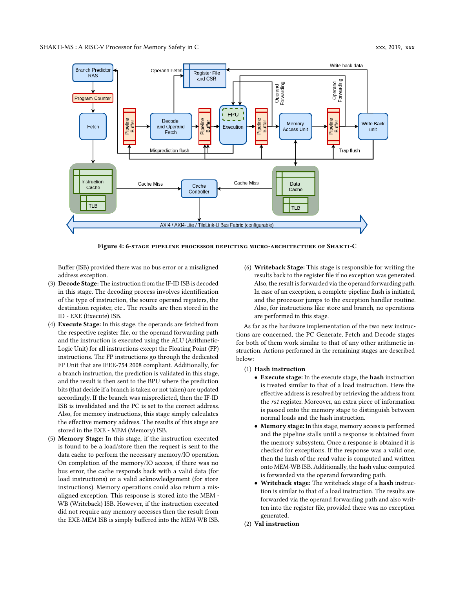<span id="page-6-0"></span>

Figure 4: 6-stage pipeline processor depicting micro-architecture of Shakti-C

Buffer (ISB) provided there was no bus error or a misaligned address exception.

- (3) Decode Stage: The instruction from the IF-ID ISB is decoded in this stage. The decoding process involves identification of the type of instruction, the source operand registers, the destination register, etc.. The results are then stored in the ID - EXE (Execute) ISB.
- (4) Execute Stage: In this stage, the operands are fetched from the respective register file, or the operand forwarding path and the instruction is executed using the ALU (Arithmetic-Logic Unit) for all instructions except the Floating Point (FP) instructions. The FP instructions go through the dedicated FP Unit that are IEEE-754 2008 compliant. Additionally, for a branch instruction, the prediction is validated in this stage, and the result is then sent to the BPU where the prediction bits (that decide if a branch is taken or not taken) are updated accordingly. If the branch was mispredicted, then the IF-ID ISB is invalidated and the PC is set to the correct address. Also, for memory instructions, this stage simply calculates the effective memory address. The results of this stage are stored in the EXE - MEM (Memory) ISB.
- (5) Memory Stage: In this stage, if the instruction executed is found to be a load/store then the request is sent to the data cache to perform the necessary memory/IO operation. On completion of the memory/IO access, if there was no bus error, the cache responds back with a valid data (for load instructions) or a valid acknowledgement (for store instructions). Memory operations could also return a misaligned exception. This response is stored into the MEM - WB (Writeback) ISB. However, if the instruction executed did not require any memory accesses then the result from the EXE-MEM ISB is simply buffered into the MEM-WB ISB.

(6) Writeback Stage: This stage is responsible for writing the results back to the register file if no exception was generated. Also, the result is forwarded via the operand forwarding path. In case of an exception, a complete pipeline flush is initiated, and the processor jumps to the exception handler routine. Also, for instructions like store and branch, no operations are performed in this stage.

As far as the hardware implementation of the two new instructions are concerned, the PC Generate, Fetch and Decode stages for both of them work similar to that of any other arithmetic instruction. Actions performed in the remaining stages are described below:

#### (1) Hash instruction

- Execute stage: In the execute stage, the hash instruction is treated similar to that of a load instruction. Here the effective address is resolved by retrieving the address from the rs1 register. Moreover, an extra piece of information is passed onto the memory stage to distinguish between normal loads and the hash instruction.
- Memory stage: In this stage, memory access is performed and the pipeline stalls until a response is obtained from the memory subsystem. Once a response is obtained it is checked for exceptions. If the response was a valid one, then the hash of the read value is computed and written onto MEM-WB ISB. Additionally, the hash value computed is forwarded via the operand forwarding path.
- Writeback stage: The writeback stage of a hash instruction is similar to that of a load instruction. The results are forwarded via the operand forwarding path and also written into the register file, provided there was no exception generated.
- (2) Val instruction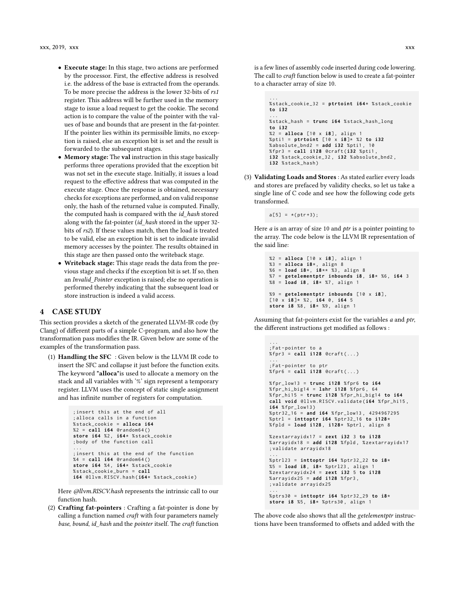- Execute stage: In this stage, two actions are performed by the processor. First, the effective address is resolved i.e. the address of the base is extracted from the operands. To be more precise the address is the lower 32-bits of rs1 register. This address will be further used in the memory stage to issue a load request to get the cookie. The second action is to compare the value of the pointer with the values of base and bounds that are present in the fat-pointer. If the pointer lies within its permissible limits, no exception is raised, else an exception bit is set and the result is forwarded to the subsequent stages.
- Memory stage: The val instruction in this stage basically performs three operations provided that the exception bit was not set in the execute stage. Initially, it issues a load request to the effective address that was computed in the execute stage. Once the response is obtained, necessary checks for exceptions are performed, and on valid response only, the hash of the returned value is computed. Finally, the computed hash is compared with the id hash stored along with the fat-pointer (id\_hash stored in the upper 32 bits of rs2). If these values match, then the load is treated to be valid, else an exception bit is set to indicate invalid memory accesses by the pointer. The results obtained in this stage are then passed onto the writeback stage.
- Writeback stage: This stage reads the data from the previous stage and checks if the exception bit is set. If so, then an Invalid\_Pointer exception is raised; else no operation is performed thereby indicating that the subsequent load or store instruction is indeed a valid access.

## 4 CASE STUDY

This section provides a sketch of the generated LLVM-IR code (by Clang) of different parts of a simple C-program, and also how the transformation pass modifies the IR. Given below are some of the examples of the transformation pass.

(1) Handling the SFC : Given below is the LLVM IR code to insert the SFC and collapse it just before the function exits. The keyword "alloca"is used to allocate a memory on the stack and all variables with '%' sign represent a temporary register. LLVM uses the concept of static single assignment and has infinite number of registers for computation.

```
; insert this at the end of all
; alloca calls in a function
% stack_cookie = alloca i64
%2 = call i64 @random64 ()
store i64 %2 , i64 * % stack_cookie
; body of the function call
...
; insert this at the end of the function
%4 = call i64 @random64 ()
store i64 %4 , i64 * % stack_cookie
% stack_cookie_burn = call
i64 @llvm.RISCV.hash ( i64* % stack_cookie )
```
Here @llvm.RISCV.hash represents the intrinsic call to our function hash.

(2) Crafting fat-pointers : Crafting a fat-pointer is done by calling a function named  $craft$  with four parameters namely base, bound, id\_hash and the pointer itself. The craft function

is a few lines of assembly code inserted during code lowering. The call to craft function below is used to create a fat-pointer to a character array of size 10.

```
...
% stack_cookie_32 = ptrtoint i64 * % stack_cookie
to i32
...
% stack_hash = trunc i64 % stack_hash_long
to i32
%2 = alloca [10 x i8] , align 1
% pti1 = ptrtoint [10 x i8 ]* %2 to i32
% absolute_bnd2 = add i32 % pti1 , 10
% fpr3 = call i128 @craft ( i32 % pti1 ,
i32 % stack_cookie_32 , i32 % absolute_bnd2 ,
i32 % stack_hash )
```
(3) Validating Loads and Stores : As stated earlier every loads and stores are prefaced by validity checks, so let us take a single line of C code and see how the following code gets transformed.

 $a [5] = * (ptr+3);$ 

...

Here  $a$  is an array of size 10 and  $ptr$  is a pointer pointing to the array. The code below is the LLVM IR representation of the said line:

```
%2 = alloca [10 x i8] , align 1
%3 = alloca i8* , align 8
%6 = load i8* , i8 ** %3 , align 8
%7 = getelementptr inbounds i8 , i8* %6 , i64 3
%8 = load i8 , i8* %7 , align 1
%9 = getelementptr inbounds [10 x i8] ,
[10 x i8 ]* %2 , i64 0 , i64 5
store i8 %8 , i8* %9 , align 1
```
Assuming that fat-pointers exist for the variables a and ptr, the different instructions get modified as follows :

```
; Fat - pointer to a
% fpr3 = call i128 @craft ( ... )
...
; Fat - pointer to ptr
% fpr6 = call i128 @craft ( ... )
% fpr_low13 = trunc i128 % fpr6 to i64
% fpr_hi_big14 = lshr i128 % fpr6 , 64
% fpr_hi15 = trunc i128 % fpr_hi_big14 to i64
call void @llvm.RISCV.validate (i64 % fpr_hi15 ,
i64 % fpr_low13 )
% ptr32_16 = and i64 % fpr_low13 , 4294967295
% ptrl = inttoptr i64 % ptr32_16 to i128 *
% fpld = load i128 , i128 * % ptrl , align 8
% zextarrayidx17 = zext i32 3 to i128
% arrayidx18 = add i128 % fpld , % zextarrayidx17
; validate arrayidx18
...
% ptrl23 = inttoptr i64 % ptr32_22 to i8*
%5 = load i8 , i8* % ptrl23 , align 1
% zextarrayidx24 = zext i32 5 to i128
% arrayidx25 = add i128 % fpr3 ,
; validate arrayidx25
...
% ptrs30 = inttoptr i64 % ptr32_29 to i8*
store i8 %5 , i8* % ptrs30 , align 1
```
The above code also shows that all the getelementptr instructions have been transformed to offsets and added with the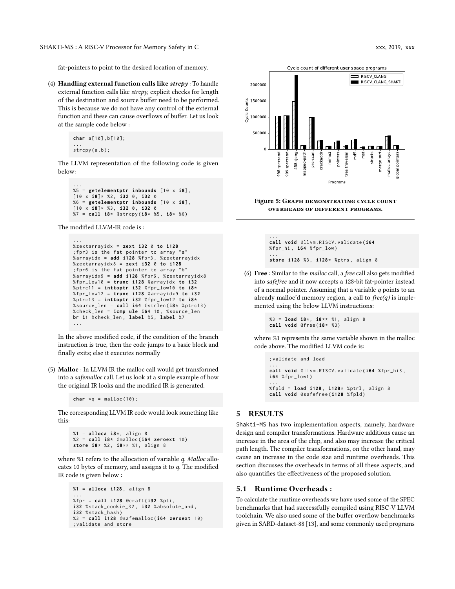fat-pointers to point to the desired location of memory.

(4) Handling external function calls like  $\text{str}e\text{p}y$ : To handle external function calls like  $\text{strcpy}$ , explicit checks for length of the destination and source buffer need to be performed. This is because we do not have any control of the external function and these can cause overflows of buffer. Let us look at the sample code below :

```
char a [10] , b [10];
...<br>strcpy(a,b);
```
The LLVM representation of the following code is given below:

```
...
%5 = getelementptr inbounds [10 x i8] ,
[10 x i8 ]* %2 , i32 0 , i32 0
%6 = getelementptr inbounds [10 x i8] ,
[10 x i8 ]* %3 , i32 0 , i32 0
%7 = call i8* @strcpy (i8* %5 , i8* %6)
```
The modified LLVM-IR code is :

```
...
% zextarrayidx = zext i32 0 to i128
; fpr3 is the fat pointer to array " a "
% arrayidx = add i128 % fpr3 , % zextarrayidx
% zextarrayidx8 = zext i32 0 to i128
; fpr6 is the fat pointer to array "b"
% arrayidx9 = add i128 % fpr6 , % zextarrayidx8
% fpr_low10 = trunc i128 % arrayidx to i32
% ptrc11 = inttoptr i32 % fpr_low10 to i8*
% fpr_low12 = trunc i128 % arrayidx9 to i32
% ptrc13 = inttoptr i32 % fpr_low12 to i8*
% source_len = call i64 @strlen (i8* % ptrc13 )
% check_len = icmp ule i64 10 , % source_len
br i1 % check_len , label %5 , label %7
...
; \frac{1}{2}<br>
\frac{1}{2}<br>
\frac{1}{2}<br>
\frac{1}{2}<br>
\frac{1}{2}<br>
\frac{1}{2}<br>
\frac{1}{2}<br>
\frac{1}{2}<br>
\frac{1}{2}<br>
\frac{1}{2}<br>
\frac{1}{2}<br>
\frac{1}{2}<br>
\frac{1}{2}<br>
\frac{1}{2}<br>
\frac{1}{2}<br>
\frac{1}{2}<br>
\frac{1}{2}<br>
\frac{1}{2}<br>
\frac{1}{2}<br>
\frac{1}{2}<br>
```
In the above modified code, if the condition of the branch instruction is true, then the code jumps to a basic block and finally exits; else it executes normally

(5) Malloc : In LLVM IR the malloc call would get transformed into a safemalloc call. Let us look at a simple example of how the original IR looks and the modified IR is generated.

```
char * q = malloc(10);
```
.

The corresponding LLVM IR code would look something like this:

```
%1 = alloca i8* , align 8
%2 = call i8* @malloc ( i64 zeroext 10)
store i8* %2 , i8 ** %1 , align 8
```
where %1 refers to the allocation of variable q. Malloc allocates 10 bytes of memory, and assigns it to  $q$ . The modified IR code is given below :

```
%1 = alloca i128 , align 8
...
% fpr = call i128 @craft ( i32 % pti ,
i32 % stack_cookie_32 , i32 % absolute_bnd ,
i32 % stack_hash )
%3 = call i128 @safemalloc ( i64 zeroext 10)
```
<span id="page-8-0"></span>

#### Figure 5: Graph demonstrating cycle count overheads of different programs.

... **call void** @llvm.RISCV.validate (**i64** % fpr\_hi , **i64** % fpr\_low ) ... **store i128** %3 , **i128** \* % ptrs , align 8

(6) Free : Similar to the malloc call, a free call also gets modified into safefree and it now accepts a 128-bit fat-pointer instead of a normal pointer. Assuming that a variable  $q$  points to an already malloc'd memory region, a call to  $free(q)$  is implemented using the below LLVM instructions:

```
%3 = load i8 *, i8 ** %1, align 8
call void @free (i8* %3)
```
where %1 represents the same variable shown in the malloc code above. The modified LLVM code is:

```
; validate and load
...
call void @llvm.RISCV.validate (i64 % fpr_hi3 ,
i64 % fpr_low1 )
...
% fpld = load i128 , i128 * % ptrl , align 8
call void @safefree ( i128 % fpld )
```
## 5 RESULTS

Shakti-MS has two implementation aspects, namely, hardware design and compiler transformations. Hardware additions cause an increase in the area of the chip, and also may increase the critical path length. The compiler transformations, on the other hand, may cause an increase in the code size and runtime overheads. This section discusses the overheads in terms of all these aspects, and also quantifies the effectiveness of the proposed solution.

## 5.1 Runtime Overheads :

To calculate the runtime overheads we have used some of the SPEC benchmarks that had successfully compiled using RISC-V LLVM toolchain. We also used some of the buffer overflow benchmarks given in SARD-dataset-88 [\[13\]](#page-10-40), and some commonly used programs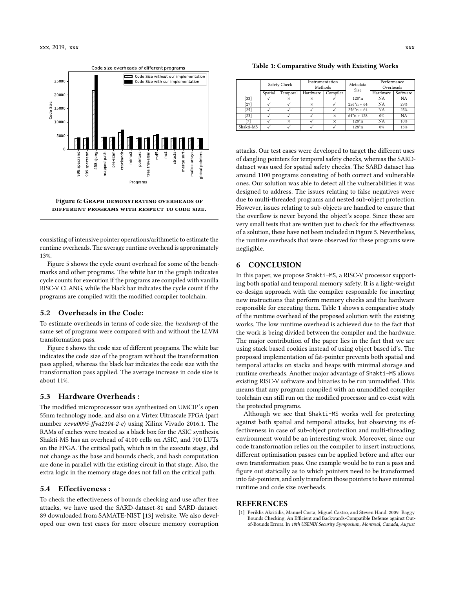<span id="page-9-1"></span>

Figure 6: Graph demonstrating overheads of different programs with respect to code size.

consisting of intensive pointer operations/arithmetic to estimate the runtime overheads. The average runtime overhead is approximately 13%.

Figure [5](#page-8-0) shows the cycle count overhead for some of the benchmarks and other programs. The white bar in the graph indicates cycle counts for execution if the programs are compiled with vanilla RISC-V CLANG, while the black bar indicates the cycle count if the programs are compiled with the modified compiler toolchain.

## 5.2 Overheads in the Code:

To estimate overheads in terms of code size, the hexdump of the same set of programs were compared with and without the LLVM transformation pass.

Figure [6](#page-9-1) shows the code size of different programs. The white bar indicates the code size of the program without the transformation pass applied, whereas the black bar indicates the code size with the transformation pass applied. The average increase in code size is about 11%.

## 5.3 Hardware Overheads :

The modified microprocessor was synthesized on UMCIP's open 55nm technology node, and also on a Virtex Ultrascale FPGA (part number xcvu0095-ffva2104-2-e) using Xilinx Vivado 2016.1. The RAMs of caches were treated as a black box for the ASIC synthesis. Shakti-MS has an overhead of 4100 cells on ASIC, and 700 LUTs on the FPGA. The critical path, which is in the execute stage, did not change as the base and bounds check, and hash computation are done in parallel with the existing circuit in that stage. Also, the extra logic in the memory stage does not fall on the critical path.

#### 5.4 Effectiveness :

To check the effectiveness of bounds checking and use after free attacks, we have used the SARD-dataset-81 and SARD-dataset-89 downloaded from SAMATE-NIST [\[13\]](#page-10-40) website. We also developed our own test cases for more obscure memory corruption

<span id="page-9-2"></span>Table 1: Comparative Study with Existing Works

|           | Safety Check |          | Instrumentation<br>Methods |          | Metadata<br>Size | Performance<br>Overheads |           |
|-----------|--------------|----------|----------------------------|----------|------------------|--------------------------|-----------|
|           | Spatial      | Temporal | Hardware                   | Compiler |                  | Hardware                 | Software  |
| [33]      |              | $\times$ | ×                          |          | $128*n$          | <b>NA</b>                | <b>NA</b> |
| [27]      |              |          | ×                          |          | $256^{*}n + 64$  | <b>NA</b>                | 29%       |
| [25]      |              |          |                            |          | $256^{*}n + 64$  | <b>NA</b>                | 25%       |
| $[23]$    |              |          |                            | ×        | $64^{*}n + 128$  | 0%                       | <b>NA</b> |
| [7]       |              | $\times$ |                            | ×        | $128^{*}n$       | <b>NA</b>                | 10%       |
| Shakti-MS |              |          |                            |          | $128^{*}n$       | $0\%$                    | 13%       |

attacks. Our test cases were developed to target the different uses of dangling pointers for temporal safety checks, whereas the SARDdataset was used for spatial safety checks. The SARD dataset has around 1100 programs consisting of both correct and vulnerable ones. Our solution was able to detect all the vulnerabilities it was designed to address. The issues relating to false negatives were due to multi-threaded programs and nested sub-object protection. However, issues relating to sub-objects are handled to ensure that the overflow is never beyond the object's scope. Since these are very small tests that are written just to check for the effectiveness of a solution, these have not been included in Figure [5.](#page-8-0) Nevertheless, the runtime overheads that were observed for these programs were negligible.

## 6 CONCLUSION

In this paper, we propose Shakti-MS, a RISC-V processor supporting both spatial and temporal memory safety. It is a light-weight co-design approach with the compiler responsible for inserting new instructions that perform memory checks and the hardware responsible for executing them. Table [1](#page-9-2) shows a comparative study of the runtime overhead of the proposed solution with the existing works. The low runtime overhead is achieved due to the fact that the work is being divided between the compiler and the hardware. The major contribution of the paper lies in the fact that we are using stack based cookies instead of using object based id's. The proposed implementation of fat-pointer prevents both spatial and temporal attacks on stacks and heaps with minimal storage and runtime overheads. Another major advantage of Shakti-MS allows existing RISC-V software and binaries to be run unmodified. This means that any program compiled with an unmodified compiler toolchain can still run on the modified processor and co-exist with the protected programs.

Although we see that Shakti-MS works well for protecting against both spatial and temporal attacks, but observing its effectiveness in case of sub-object protection and multi-threading environment would be an interesting work. Moreover, since our code transformation relies on the compiler to insert instructions, different optimisation passes can be applied before and after our own transformation pass. One example would be to run a pass and figure out statically as to which pointers need to be transformed into fat-pointers, and only transform those pointers to have minimal runtime and code size overheads.

#### REFERENCES

<span id="page-9-0"></span>[1] Periklis Akritidis, Manuel Costa, Miguel Castro, and Steven Hand. 2009. Baggy Bounds Checking: An Efficient and Backwards-Compatible Defense against Outof-Bounds Errors. In 18th USENIX Security Symposium, Montreal, Canada, August